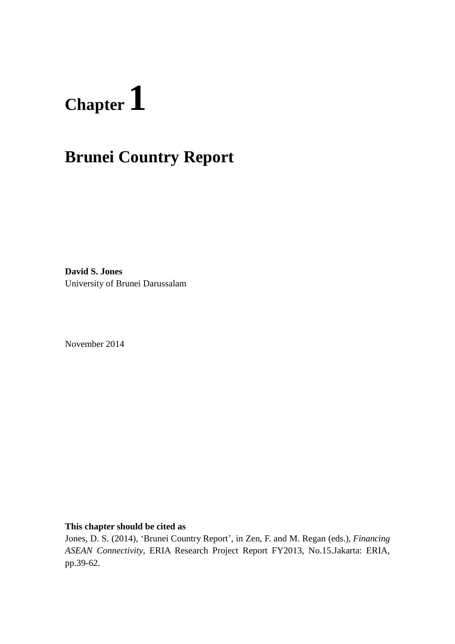# **Chapter1**

# **Brunei Country Report**

**David S. Jones** University of Brunei Darussalam

November 2014

#### **This chapter should be cited as**

Jones, D. S. (2014), 'Brunei Country Report', in Zen, F. and M. Regan (eds.), *Financing ASEAN Connectivity*, ERIA Research Project Report FY2013, No.15.Jakarta: ERIA, pp.39-62.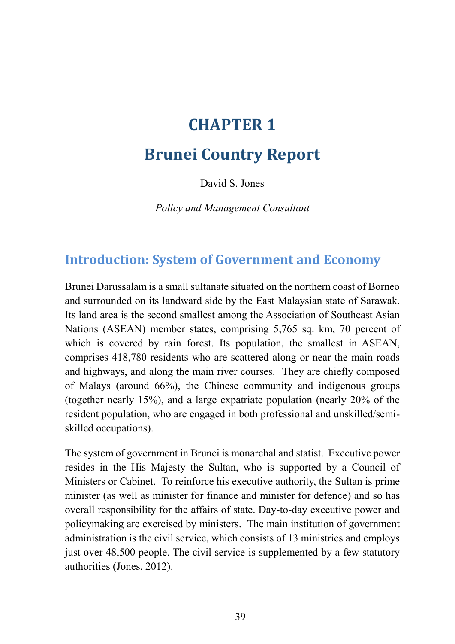# **CHAPTER 1**

# **Brunei Country Report**

David S. Jones

*Policy and Management Consultant*

## **Introduction: System of Government and Economy**

Brunei Darussalam is a small sultanate situated on the northern coast of Borneo and surrounded on its landward side by the East Malaysian state of Sarawak. Its land area is the second smallest among the Association of Southeast Asian Nations (ASEAN) member states, comprising 5,765 sq. km, 70 percent of which is covered by rain forest. Its population, the smallest in ASEAN, comprises 418,780 residents who are scattered along or near the main roads and highways, and along the main river courses. They are chiefly composed of Malays (around 66%), the Chinese community and indigenous groups (together nearly 15%), and a large expatriate population (nearly 20% of the resident population, who are engaged in both professional and unskilled/semiskilled occupations).

The system of government in Brunei is monarchal and statist. Executive power resides in the His Majesty the Sultan, who is supported by a Council of Ministers or Cabinet. To reinforce his executive authority, the Sultan is prime minister (as well as minister for finance and minister for defence) and so has overall responsibility for the affairs of state. Day-to-day executive power and policymaking are exercised by ministers. The main institution of government administration is the civil service, which consists of 13 ministries and employs just over 48,500 people. The civil service is supplemented by a few statutory authorities (Jones, 2012).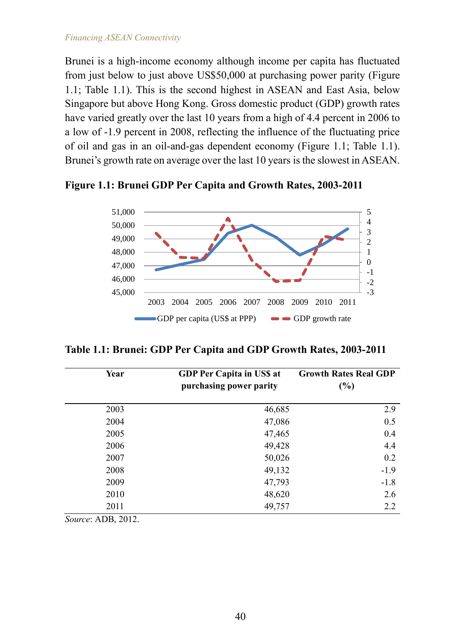Brunei is a high-income economy although income per capita has fluctuated from just below to just above US\$50,000 at purchasing power parity (Figure 1.1; Table 1.1). This is the second highest in ASEAN and East Asia, below Singapore but above Hong Kong. Gross domestic product (GDP) growth rates have varied greatly over the last 10 years from a high of 4.4 percent in 2006 to a low of -1.9 percent in 2008, reflecting the influence of the fluctuating price of oil and gas in an oil-and-gas dependent economy (Figure 1.1; Table 1.1). Brunei's growth rate on average over the last 10 years is the slowest in ASEAN.

-3 -2 -1 0 1 2 3 4 5 45,000 46,000 47,000 48,000 49,000 50,000 51,000 2003 2004 2005 2006 2007 2008 2009 2010 2011 GDP per capita (US\$ at PPP) GDP growth rate

**Figure 1.1: Brunei GDP Per Capita and Growth Rates, 2003-2011**

**Table 1.1: Brunei: GDP Per Capita and GDP Growth Rates, 2003-2011**

| Year                | <b>GDP Per Capita in USS at</b><br>purchasing power parity | <b>Growth Rates Real GDP</b><br>$(\%)$ |
|---------------------|------------------------------------------------------------|----------------------------------------|
| 2003                | 46,685                                                     | 2.9                                    |
| 2004                | 47,086                                                     | 0.5                                    |
| 2005                | 47,465                                                     | 0.4                                    |
| 2006                | 49,428                                                     | 4.4                                    |
| 2007                | 50,026                                                     | 0.2                                    |
| 2008                | 49,132                                                     | $-1.9$                                 |
| 2009                | 47,793                                                     | $-1.8$                                 |
| 2010                | 48,620                                                     | 2.6                                    |
| 2011                | 49,757                                                     | 2.2                                    |
| $\sim$<br>1.77.2012 |                                                            |                                        |

*Source*: ADB, 2012.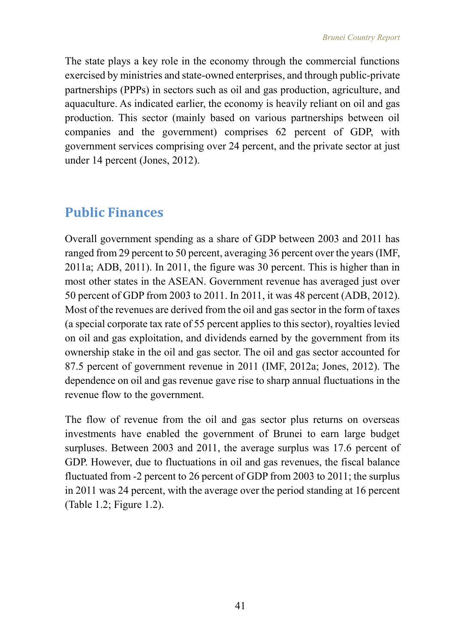The state plays a key role in the economy through the commercial functions exercised by ministries and state-owned enterprises, and through public-private partnerships (PPPs) in sectors such as oil and gas production, agriculture, and aquaculture. As indicated earlier, the economy is heavily reliant on oil and gas production. This sector (mainly based on various partnerships between oil companies and the government) comprises 62 percent of GDP, with government services comprising over 24 percent, and the private sector at just under 14 percent (Jones, 2012).

# **Public Finances**

Overall government spending as a share of GDP between 2003 and 2011 has ranged from 29 percent to 50 percent, averaging 36 percent over the years (IMF, 2011a; ADB, 2011). In 2011, the figure was 30 percent. This is higher than in most other states in the ASEAN. Government revenue has averaged just over 50 percent of GDP from 2003 to 2011. In 2011, it was 48 percent (ADB, 2012). Most of the revenues are derived from the oil and gas sector in the form of taxes (a special corporate tax rate of 55 percent applies to this sector), royalties levied on oil and gas exploitation, and dividends earned by the government from its ownership stake in the oil and gas sector. The oil and gas sector accounted for 87.5 percent of government revenue in 2011 (IMF, 2012a; Jones, 2012). The dependence on oil and gas revenue gave rise to sharp annual fluctuations in the revenue flow to the government.

The flow of revenue from the oil and gas sector plus returns on overseas investments have enabled the government of Brunei to earn large budget surpluses. Between 2003 and 2011, the average surplus was 17.6 percent of GDP. However, due to fluctuations in oil and gas revenues, the fiscal balance fluctuated from -2 percent to 26 percent of GDP from 2003 to 2011; the surplus in 2011 was 24 percent, with the average over the period standing at 16 percent (Table 1.2; Figure 1.2).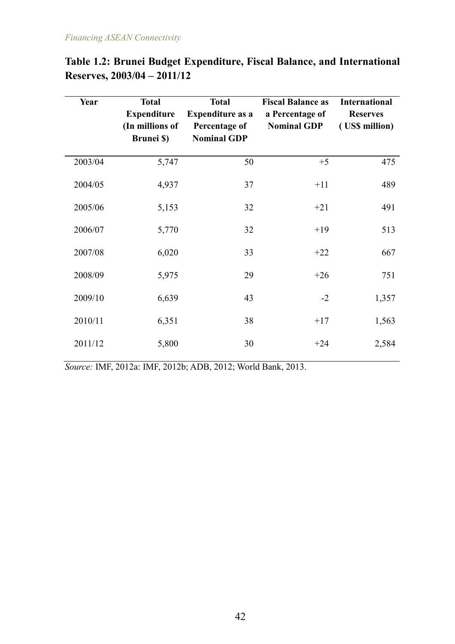| Year    | <b>Total</b><br><b>Expenditure</b><br>(In millions of<br><b>Brunei</b> \$) | <b>Total</b><br><b>Expenditure as a</b><br>Percentage of<br><b>Nominal GDP</b> | <b>Fiscal Balance as</b><br>a Percentage of<br><b>Nominal GDP</b> | <b>International</b><br><b>Reserves</b><br>(US\$ million) |
|---------|----------------------------------------------------------------------------|--------------------------------------------------------------------------------|-------------------------------------------------------------------|-----------------------------------------------------------|
| 2003/04 | 5,747                                                                      | 50                                                                             | $+5$                                                              | 475                                                       |
| 2004/05 | 4,937                                                                      | 37                                                                             | $+11$                                                             | 489                                                       |
| 2005/06 | 5,153                                                                      | 32                                                                             | $+21$                                                             | 491                                                       |
| 2006/07 | 5,770                                                                      | 32                                                                             | $+19$                                                             | 513                                                       |
| 2007/08 | 6,020                                                                      | 33                                                                             | $+22$                                                             | 667                                                       |
| 2008/09 | 5,975                                                                      | 29                                                                             | $+26$                                                             | 751                                                       |
| 2009/10 | 6,639                                                                      | 43                                                                             | $-2$                                                              | 1,357                                                     |
| 2010/11 | 6,351                                                                      | 38                                                                             | $+17$                                                             | 1,563                                                     |
| 2011/12 | 5,800                                                                      | 30                                                                             | $+24$                                                             | 2,584                                                     |

|                             | Table 1.2: Brunei Budget Expenditure, Fiscal Balance, and International |  |  |
|-----------------------------|-------------------------------------------------------------------------|--|--|
| Reserves, 2003/04 – 2011/12 |                                                                         |  |  |

*Source:* IMF, 2012a: IMF, 2012b; ADB, 2012; World Bank, 2013.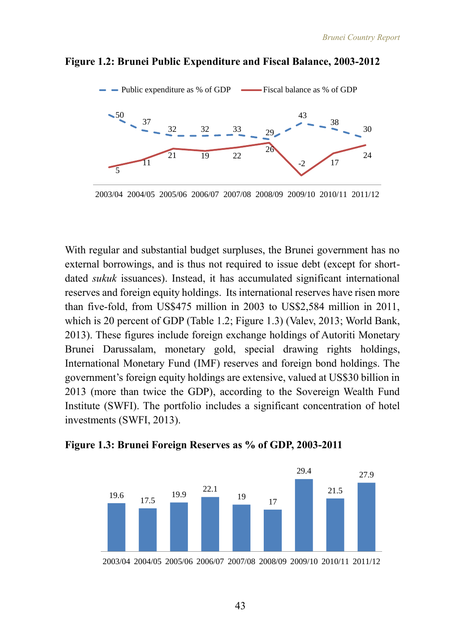

#### **Figure 1.2: Brunei Public Expenditure and Fiscal Balance, 2003-2012**

2003/04 2004/05 2005/06 2006/07 2007/08 2008/09 2009/10 2010/11 2011/12

With regular and substantial budget surpluses, the Brunei government has no external borrowings, and is thus not required to issue debt (except for shortdated *sukuk* issuances). Instead, it has accumulated significant international reserves and foreign equity holdings. Its international reserves have risen more than five-fold, from US\$475 million in 2003 to US\$2,584 million in 2011, which is 20 percent of GDP (Table 1.2; Figure 1.3) (Valev, 2013; World Bank, 2013). These figures include foreign exchange holdings of Autoriti Monetary Brunei Darussalam, monetary gold, special drawing rights holdings, International Monetary Fund (IMF) reserves and foreign bond holdings. The government's foreign equity holdings are extensive, valued at US\$30 billion in 2013 (more than twice the GDP), according to the Sovereign Wealth Fund Institute (SWFI). The portfolio includes a significant concentration of hotel investments (SWFI, 2013).



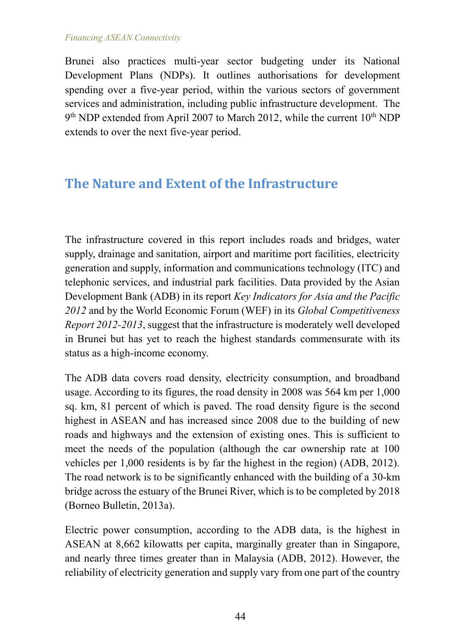Brunei also practices multi-year sector budgeting under its National Development Plans (NDPs). It outlines authorisations for development spending over a five-year period, within the various sectors of government services and administration, including public infrastructure development. The 9<sup>th</sup> NDP extended from April 2007 to March 2012, while the current 10<sup>th</sup> NDP extends to over the next five-year period.

# **The Nature and Extent of the Infrastructure**

The infrastructure covered in this report includes roads and bridges, water supply, drainage and sanitation, airport and maritime port facilities, electricity generation and supply, information and communications technology (ITC) and telephonic services, and industrial park facilities. Data provided by the Asian Development Bank (ADB) in its report *Key Indicators for Asia and the Pacific 2012* and by the World Economic Forum (WEF) in its *Global Competitiveness Report 2012-2013*, suggest that the infrastructure is moderately well developed in Brunei but has yet to reach the highest standards commensurate with its status as a high-income economy.

The ADB data covers road density, electricity consumption, and broadband usage. According to its figures, the road density in 2008 was 564 km per 1,000 sq. km, 81 percent of which is paved. The road density figure is the second highest in ASEAN and has increased since 2008 due to the building of new roads and highways and the extension of existing ones. This is sufficient to meet the needs of the population (although the car ownership rate at 100 vehicles per 1,000 residents is by far the highest in the region) (ADB, 2012). The road network is to be significantly enhanced with the building of a 30-km bridge across the estuary of the Brunei River, which is to be completed by 2018 (Borneo Bulletin, 2013a).

Electric power consumption, according to the ADB data, is the highest in ASEAN at 8,662 kilowatts per capita, marginally greater than in Singapore, and nearly three times greater than in Malaysia (ADB, 2012). However, the reliability of electricity generation and supply vary from one part of the country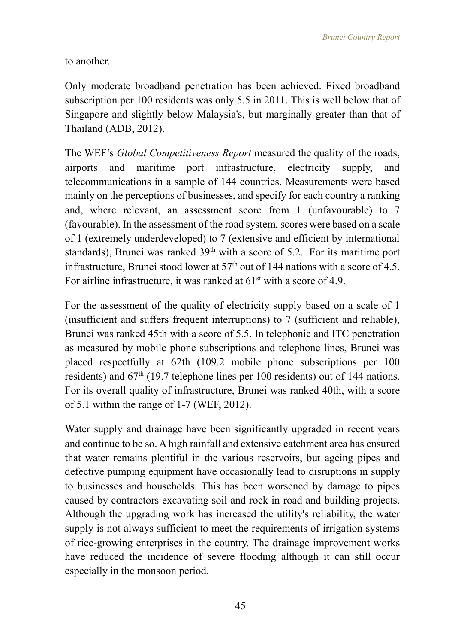to another.

Only moderate broadband penetration has been achieved. Fixed broadband subscription per 100 residents was only 5.5 in 2011. This is well below that of Singapore and slightly below Malaysia's, but marginally greater than that of Thailand (ADB, 2012).

The WEF's *Global Competitiveness Report* measured the quality of the roads, airports and maritime port infrastructure, electricity supply, and telecommunications in a sample of 144 countries. Measurements were based mainly on the perceptions of businesses, and specify for each country a ranking and, where relevant, an assessment score from 1 (unfavourable) to 7 (favourable). In the assessment of the road system, scores were based on a scale of 1 (extremely underdeveloped) to 7 (extensive and efficient by international standards), Brunei was ranked  $39<sup>th</sup>$  with a score of 5.2. For its maritime port infrastructure, Brunei stood lower at  $57<sup>th</sup>$  out of 144 nations with a score of 4.5. For airline infrastructure, it was ranked at  $61<sup>st</sup>$  with a score of 4.9.

For the assessment of the quality of electricity supply based on a scale of 1 (insufficient and suffers frequent interruptions) to 7 (sufficient and reliable), Brunei was ranked 45th with a score of 5.5. In telephonic and ITC penetration as measured by mobile phone subscriptions and telephone lines, Brunei was placed respectfully at 62th (109.2 mobile phone subscriptions per 100 residents) and  $67<sup>th</sup>$  (19.7 telephone lines per 100 residents) out of 144 nations. For its overall quality of infrastructure, Brunei was ranked 40th, with a score of 5.1 within the range of 1-7 (WEF, 2012).

Water supply and drainage have been significantly upgraded in recent years and continue to be so. A high rainfall and extensive catchment area has ensured that water remains plentiful in the various reservoirs, but ageing pipes and defective pumping equipment have occasionally lead to disruptions in supply to businesses and households. This has been worsened by damage to pipes caused by contractors excavating soil and rock in road and building projects. Although the upgrading work has increased the utility's reliability, the water supply is not always sufficient to meet the requirements of irrigation systems of rice-growing enterprises in the country. The drainage improvement works have reduced the incidence of severe flooding although it can still occur especially in the monsoon period.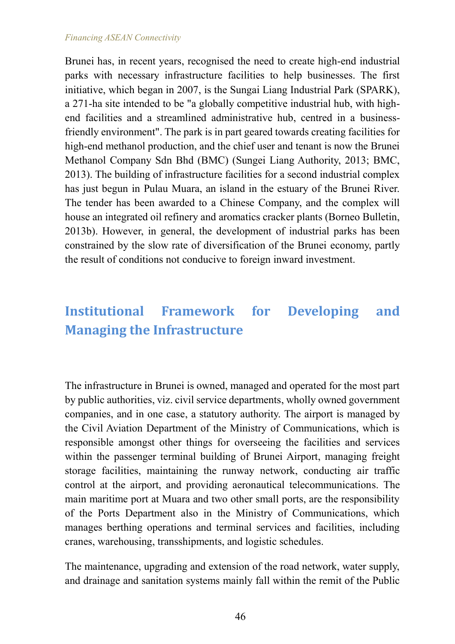Brunei has, in recent years, recognised the need to create high-end industrial parks with necessary infrastructure facilities to help businesses. The first initiative, which began in 2007, is the Sungai Liang Industrial Park (SPARK), a 271-ha site intended to be "a globally competitive industrial hub, with highend facilities and a streamlined administrative hub, centred in a businessfriendly environment". The park is in part geared towards creating facilities for high-end methanol production, and the chief user and tenant is now the Brunei Methanol Company Sdn Bhd (BMC) (Sungei Liang Authority, 2013; BMC, 2013). The building of infrastructure facilities for a second industrial complex has just begun in Pulau Muara, an island in the estuary of the Brunei River. The tender has been awarded to a Chinese Company, and the complex will house an integrated oil refinery and aromatics cracker plants (Borneo Bulletin, 2013b). However, in general, the development of industrial parks has been constrained by the slow rate of diversification of the Brunei economy, partly the result of conditions not conducive to foreign inward investment.

# **Institutional Framework for Developing and Managing the Infrastructure**

The infrastructure in Brunei is owned, managed and operated for the most part by public authorities, viz. civil service departments, wholly owned government companies, and in one case, a statutory authority. The airport is managed by the Civil Aviation Department of the Ministry of Communications, which is responsible amongst other things for overseeing the facilities and services within the passenger terminal building of Brunei Airport, managing freight storage facilities, maintaining the runway network, conducting air traffic control at the airport, and providing aeronautical telecommunications. The main maritime port at Muara and two other small ports, are the responsibility of the Ports Department also in the Ministry of Communications, which manages berthing operations and terminal services and facilities, including cranes, warehousing, transshipments, and logistic schedules.

The maintenance, upgrading and extension of the road network, water supply, and drainage and sanitation systems mainly fall within the remit of the Public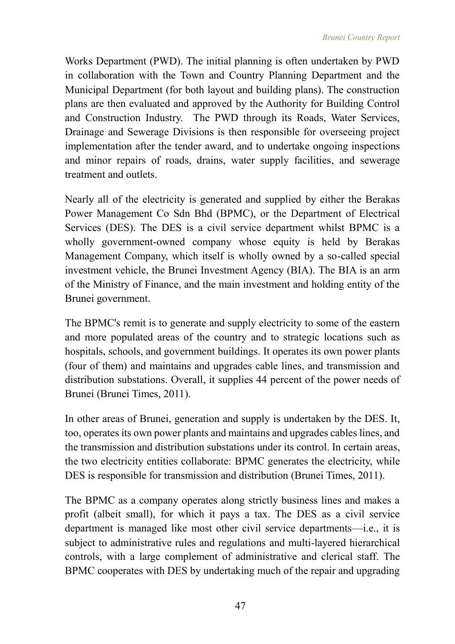Works Department (PWD). The initial planning is often undertaken by PWD in collaboration with the Town and Country Planning Department and the Municipal Department (for both layout and building plans). The construction plans are then evaluated and approved by the Authority for Building Control and Construction Industry. The PWD through its Roads, Water Services, Drainage and Sewerage Divisions is then responsible for overseeing project implementation after the tender award, and to undertake ongoing inspections and minor repairs of roads, drains, water supply facilities, and sewerage treatment and outlets.

Nearly all of the electricity is generated and supplied by either the Berakas Power Management Co Sdn Bhd (BPMC), or the Department of Electrical Services (DES). The DES is a civil service department whilst BPMC is a wholly government-owned company whose equity is held by Berakas Management Company, which itself is wholly owned by a so-called special investment vehicle, the Brunei Investment Agency (BIA). The BIA is an arm of the Ministry of Finance, and the main investment and holding entity of the Brunei government.

The BPMC's remit is to generate and supply electricity to some of the eastern and more populated areas of the country and to strategic locations such as hospitals, schools, and government buildings. It operates its own power plants (four of them) and maintains and upgrades cable lines, and transmission and distribution substations. Overall, it supplies 44 percent of the power needs of Brunei (Brunei Times, 2011).

In other areas of Brunei, generation and supply is undertaken by the DES. It, too, operates its own power plants and maintains and upgrades cables lines, and the transmission and distribution substations under its control. In certain areas, the two electricity entities collaborate: BPMC generates the electricity, while DES is responsible for transmission and distribution (Brunei Times, 2011).

The BPMC as a company operates along strictly business lines and makes a profit (albeit small), for which it pays a tax. The DES as a civil service department is managed like most other civil service departments—i.e., it is subject to administrative rules and regulations and multi-layered hierarchical controls, with a large complement of administrative and clerical staff. The BPMC cooperates with DES by undertaking much of the repair and upgrading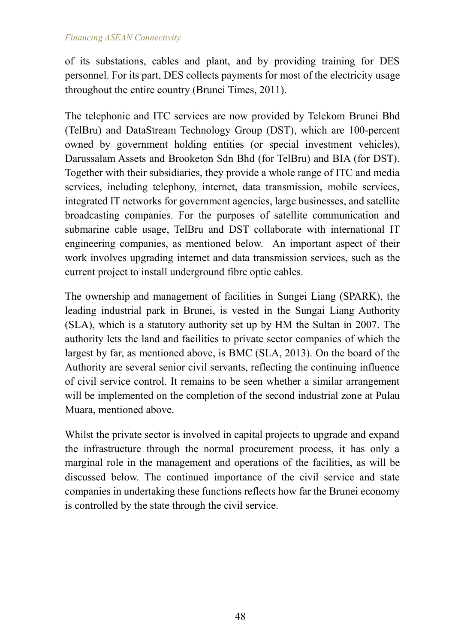of its substations, cables and plant, and by providing training for DES personnel. For its part, DES collects payments for most of the electricity usage throughout the entire country (Brunei Times, 2011).

The telephonic and ITC services are now provided by Telekom Brunei Bhd (TelBru) and DataStream Technology Group (DST), which are 100-percent owned by government holding entities (or special investment vehicles), Darussalam Assets and Brooketon Sdn Bhd (for TelBru) and BIA (for DST). Together with their subsidiaries, they provide a whole range of ITC and media services, including telephony, internet, data transmission, mobile services, integrated IT networks for government agencies, large businesses, and satellite broadcasting companies. For the purposes of satellite communication and submarine cable usage, TelBru and DST collaborate with international IT engineering companies, as mentioned below. An important aspect of their work involves upgrading internet and data transmission services, such as the current project to install underground fibre optic cables.

The ownership and management of facilities in Sungei Liang (SPARK), the leading industrial park in Brunei, is vested in the Sungai Liang Authority (SLA), which is a statutory authority set up by HM the Sultan in 2007. The authority lets the land and facilities to private sector companies of which the largest by far, as mentioned above, is BMC (SLA, 2013). On the board of the Authority are several senior civil servants, reflecting the continuing influence of civil service control. It remains to be seen whether a similar arrangement will be implemented on the completion of the second industrial zone at Pulau Muara, mentioned above.

Whilst the private sector is involved in capital projects to upgrade and expand the infrastructure through the normal procurement process, it has only a marginal role in the management and operations of the facilities, as will be discussed below. The continued importance of the civil service and state companies in undertaking these functions reflects how far the Brunei economy is controlled by the state through the civil service.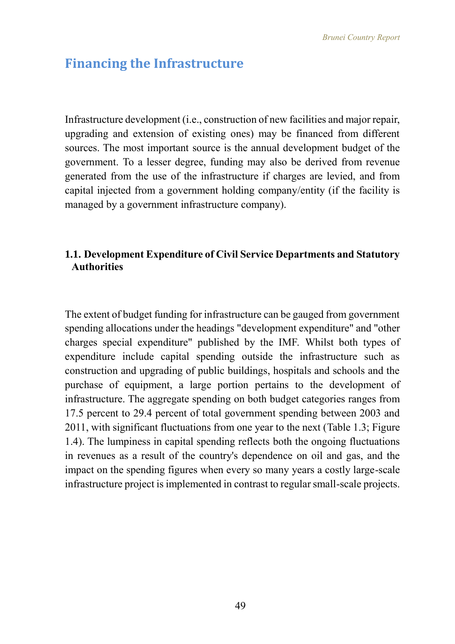## **Financing the Infrastructure**

Infrastructure development (i.e., construction of new facilities and major repair, upgrading and extension of existing ones) may be financed from different sources. The most important source is the annual development budget of the government. To a lesser degree, funding may also be derived from revenue generated from the use of the infrastructure if charges are levied, and from capital injected from a government holding company/entity (if the facility is managed by a government infrastructure company).

## **1.1. Development Expenditure of Civil Service Departments and Statutory Authorities**

The extent of budget funding for infrastructure can be gauged from government spending allocations under the headings "development expenditure" and "other charges special expenditure" published by the IMF. Whilst both types of expenditure include capital spending outside the infrastructure such as construction and upgrading of public buildings, hospitals and schools and the purchase of equipment, a large portion pertains to the development of infrastructure. The aggregate spending on both budget categories ranges from 17.5 percent to 29.4 percent of total government spending between 2003 and 2011, with significant fluctuations from one year to the next (Table 1.3; Figure 1.4). The lumpiness in capital spending reflects both the ongoing fluctuations in revenues as a result of the country's dependence on oil and gas, and the impact on the spending figures when every so many years a costly large-scale infrastructure project is implemented in contrast to regular small-scale projects.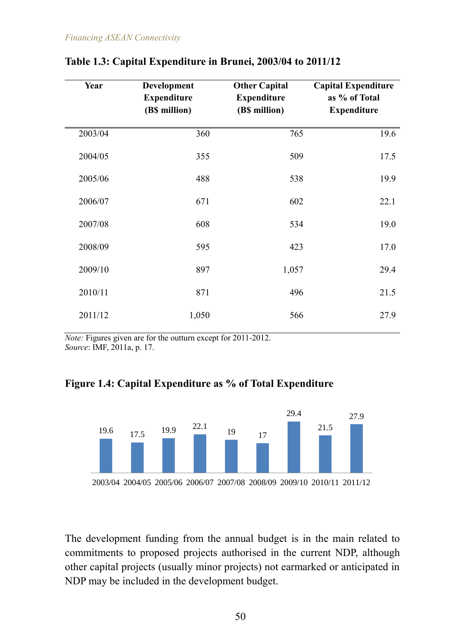| Year    | Development<br><b>Expenditure</b><br>(B\$ million) | <b>Other Capital</b><br><b>Expenditure</b><br>(B\$ million) | <b>Capital Expenditure</b><br>as % of Total<br><b>Expenditure</b> |
|---------|----------------------------------------------------|-------------------------------------------------------------|-------------------------------------------------------------------|
| 2003/04 | 360                                                | 765                                                         | 19.6                                                              |
| 2004/05 | 355                                                | 509                                                         | 17.5                                                              |
| 2005/06 | 488                                                | 538                                                         | 19.9                                                              |
| 2006/07 | 671                                                | 602                                                         | 22.1                                                              |
| 2007/08 | 608                                                | 534                                                         | 19.0                                                              |
| 2008/09 | 595                                                | 423                                                         | 17.0                                                              |
| 2009/10 | 897                                                | 1,057                                                       | 29.4                                                              |
| 2010/11 | 871                                                | 496                                                         | 21.5                                                              |
| 2011/12 | 1,050                                              | 566                                                         | 27.9                                                              |

## **Table 1.3: Capital Expenditure in Brunei, 2003/04 to 2011/12**

*Note:* Figures given are for the outturn except for 2011-2012. *Source*: IMF, 2011a, p. 17.

## **Figure 1.4: Capital Expenditure as % of Total Expenditure**



The development funding from the annual budget is in the main related to commitments to proposed projects authorised in the current NDP, although other capital projects (usually minor projects) not earmarked or anticipated in NDP may be included in the development budget.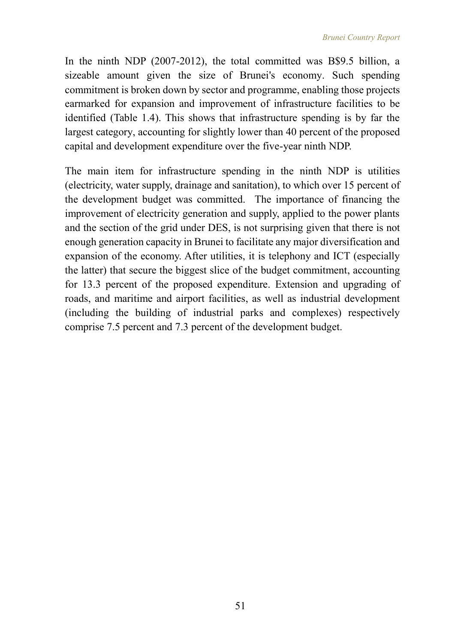In the ninth NDP (2007-2012), the total committed was B\$9.5 billion, a sizeable amount given the size of Brunei's economy. Such spending commitment is broken down by sector and programme, enabling those projects earmarked for expansion and improvement of infrastructure facilities to be identified (Table 1.4). This shows that infrastructure spending is by far the largest category, accounting for slightly lower than 40 percent of the proposed capital and development expenditure over the five-year ninth NDP.

The main item for infrastructure spending in the ninth NDP is utilities (electricity, water supply, drainage and sanitation), to which over 15 percent of the development budget was committed. The importance of financing the improvement of electricity generation and supply, applied to the power plants and the section of the grid under DES, is not surprising given that there is not enough generation capacity in Brunei to facilitate any major diversification and expansion of the economy. After utilities, it is telephony and ICT (especially the latter) that secure the biggest slice of the budget commitment, accounting for 13.3 percent of the proposed expenditure. Extension and upgrading of roads, and maritime and airport facilities, as well as industrial development (including the building of industrial parks and complexes) respectively comprise 7.5 percent and 7.3 percent of the development budget.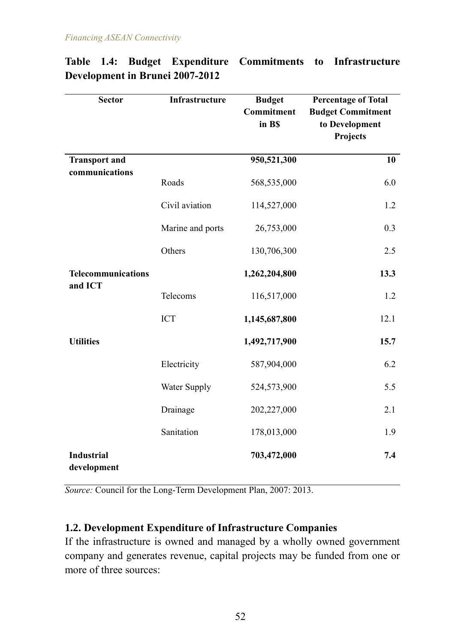| <b>Sector</b>                        | Infrastructure      | <b>Budget</b><br>Commitment<br>in B\$ | <b>Percentage of Total</b><br><b>Budget Commitment</b><br>to Development<br>Projects |
|--------------------------------------|---------------------|---------------------------------------|--------------------------------------------------------------------------------------|
| <b>Transport and</b>                 |                     | 950,521,300                           | 10                                                                                   |
| communications                       | Roads               | 568,535,000                           | 6.0                                                                                  |
|                                      | Civil aviation      | 114,527,000                           | 1.2                                                                                  |
|                                      | Marine and ports    | 26,753,000                            | 0.3                                                                                  |
|                                      | Others              | 130,706,300                           | 2.5                                                                                  |
| <b>Telecommunications</b><br>and ICT |                     | 1,262,204,800                         | 13.3                                                                                 |
|                                      | Telecoms            | 116,517,000                           | 1.2                                                                                  |
|                                      | <b>ICT</b>          | 1,145,687,800                         | 12.1                                                                                 |
| <b>Utilities</b>                     |                     | 1,492,717,900                         | 15.7                                                                                 |
|                                      | Electricity         | 587,904,000                           | 6.2                                                                                  |
|                                      | <b>Water Supply</b> | 524,573,900                           | 5.5                                                                                  |
|                                      | Drainage            | 202,227,000                           | 2.1                                                                                  |
|                                      | Sanitation          | 178,013,000                           | 1.9                                                                                  |
| <b>Industrial</b><br>development     |                     | 703,472,000                           | 7.4                                                                                  |

## **Table 1.4: Budget Expenditure Commitments to Infrastructure Development in Brunei 2007-2012**

*Source:* Council for the Long-Term Development Plan, 2007: 2013.

## **1.2. Development Expenditure of Infrastructure Companies**

If the infrastructure is owned and managed by a wholly owned government company and generates revenue, capital projects may be funded from one or more of three sources: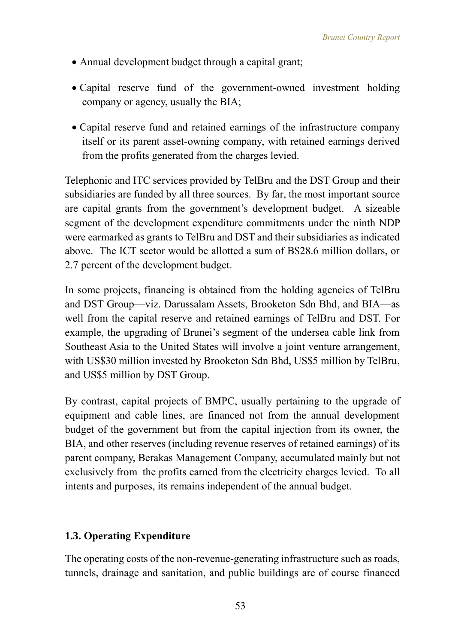- Annual development budget through a capital grant;
- Capital reserve fund of the government-owned investment holding company or agency, usually the BIA;
- Capital reserve fund and retained earnings of the infrastructure company itself or its parent asset-owning company, with retained earnings derived from the profits generated from the charges levied.

Telephonic and ITC services provided by TelBru and the DST Group and their subsidiaries are funded by all three sources. By far, the most important source are capital grants from the government's development budget. A sizeable segment of the development expenditure commitments under the ninth NDP were earmarked as grants to TelBru and DST and their subsidiaries as indicated above. The ICT sector would be allotted a sum of B\$28.6 million dollars, or 2.7 percent of the development budget.

In some projects, financing is obtained from the holding agencies of TelBru and DST Group—viz. Darussalam Assets, Brooketon Sdn Bhd, and BIA—as well from the capital reserve and retained earnings of TelBru and DST. For example, the upgrading of Brunei's segment of the undersea cable link from Southeast Asia to the United States will involve a joint venture arrangement, with US\$30 million invested by Brooketon Sdn Bhd, US\$5 million by TelBru, and US\$5 million by DST Group.

By contrast, capital projects of BMPC, usually pertaining to the upgrade of equipment and cable lines, are financed not from the annual development budget of the government but from the capital injection from its owner, the BIA, and other reserves (including revenue reserves of retained earnings) of its parent company, Berakas Management Company, accumulated mainly but not exclusively from the profits earned from the electricity charges levied. To all intents and purposes, its remains independent of the annual budget.

## **1.3. Operating Expenditure**

The operating costs of the non-revenue-generating infrastructure such as roads, tunnels, drainage and sanitation, and public buildings are of course financed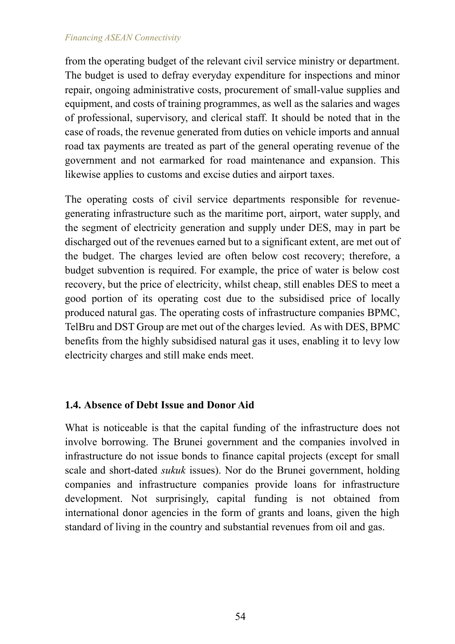from the operating budget of the relevant civil service ministry or department. The budget is used to defray everyday expenditure for inspections and minor repair, ongoing administrative costs, procurement of small-value supplies and equipment, and costs of training programmes, as well as the salaries and wages of professional, supervisory, and clerical staff. It should be noted that in the case of roads, the revenue generated from duties on vehicle imports and annual road tax payments are treated as part of the general operating revenue of the government and not earmarked for road maintenance and expansion. This likewise applies to customs and excise duties and airport taxes.

The operating costs of civil service departments responsible for revenuegenerating infrastructure such as the maritime port, airport, water supply, and the segment of electricity generation and supply under DES, may in part be discharged out of the revenues earned but to a significant extent, are met out of the budget. The charges levied are often below cost recovery; therefore, a budget subvention is required. For example, the price of water is below cost recovery, but the price of electricity, whilst cheap, still enables DES to meet a good portion of its operating cost due to the subsidised price of locally produced natural gas. The operating costs of infrastructure companies BPMC, TelBru and DST Group are met out of the charges levied. As with DES, BPMC benefits from the highly subsidised natural gas it uses, enabling it to levy low electricity charges and still make ends meet.

## **1.4. Absence of Debt Issue and Donor Aid**

What is noticeable is that the capital funding of the infrastructure does not involve borrowing. The Brunei government and the companies involved in infrastructure do not issue bonds to finance capital projects (except for small scale and short-dated *sukuk* issues). Nor do the Brunei government, holding companies and infrastructure companies provide loans for infrastructure development. Not surprisingly, capital funding is not obtained from international donor agencies in the form of grants and loans, given the high standard of living in the country and substantial revenues from oil and gas.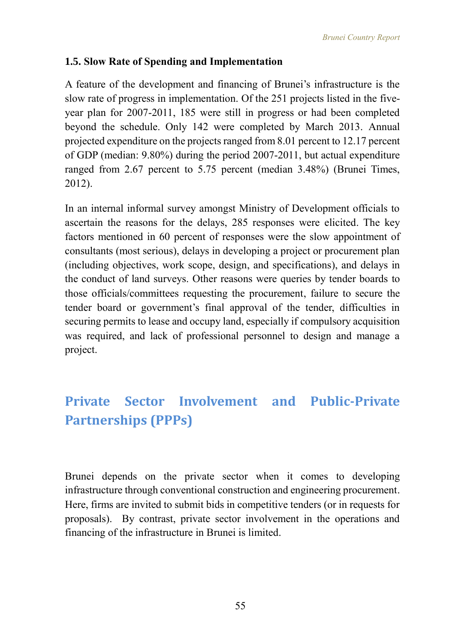## **1.5. Slow Rate of Spending and Implementation**

A feature of the development and financing of Brunei's infrastructure is the slow rate of progress in implementation. Of the 251 projects listed in the fiveyear plan for 2007-2011, 185 were still in progress or had been completed beyond the schedule. Only 142 were completed by March 2013. Annual projected expenditure on the projects ranged from 8.01 percent to 12.17 percent of GDP (median: 9.80%) during the period 2007-2011, but actual expenditure ranged from 2.67 percent to 5.75 percent (median 3.48%) (Brunei Times, 2012).

In an internal informal survey amongst Ministry of Development officials to ascertain the reasons for the delays, 285 responses were elicited. The key factors mentioned in 60 percent of responses were the slow appointment of consultants (most serious), delays in developing a project or procurement plan (including objectives, work scope, design, and specifications), and delays in the conduct of land surveys. Other reasons were queries by tender boards to those officials/committees requesting the procurement, failure to secure the tender board or government's final approval of the tender, difficulties in securing permits to lease and occupy land, especially if compulsory acquisition was required, and lack of professional personnel to design and manage a project.

# **Private Sector Involvement and Public-Private Partnerships (PPPs)**

Brunei depends on the private sector when it comes to developing infrastructure through conventional construction and engineering procurement. Here, firms are invited to submit bids in competitive tenders (or in requests for proposals). By contrast, private sector involvement in the operations and financing of the infrastructure in Brunei is limited.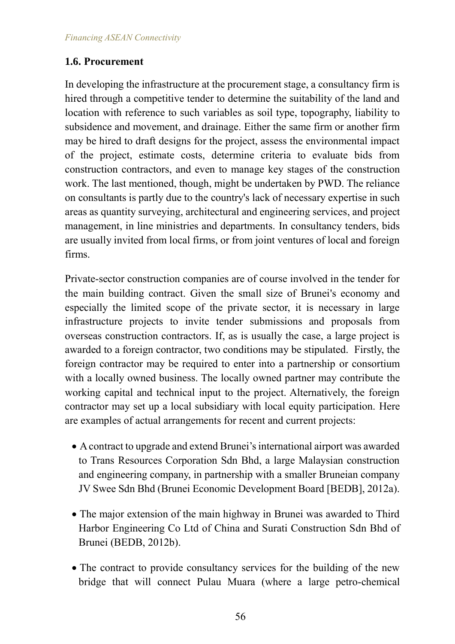## **1.6. Procurement**

In developing the infrastructure at the procurement stage, a consultancy firm is hired through a competitive tender to determine the suitability of the land and location with reference to such variables as soil type, topography, liability to subsidence and movement, and drainage. Either the same firm or another firm may be hired to draft designs for the project, assess the environmental impact of the project, estimate costs, determine criteria to evaluate bids from construction contractors, and even to manage key stages of the construction work. The last mentioned, though, might be undertaken by PWD. The reliance on consultants is partly due to the country's lack of necessary expertise in such areas as quantity surveying, architectural and engineering services, and project management, in line ministries and departments. In consultancy tenders, bids are usually invited from local firms, or from joint ventures of local and foreign firms.

Private-sector construction companies are of course involved in the tender for the main building contract. Given the small size of Brunei's economy and especially the limited scope of the private sector, it is necessary in large infrastructure projects to invite tender submissions and proposals from overseas construction contractors. If, as is usually the case, a large project is awarded to a foreign contractor, two conditions may be stipulated. Firstly, the foreign contractor may be required to enter into a partnership or consortium with a locally owned business. The locally owned partner may contribute the working capital and technical input to the project. Alternatively, the foreign contractor may set up a local subsidiary with local equity participation. Here are examples of actual arrangements for recent and current projects:

- A contract to upgrade and extend Brunei's international airport was awarded to Trans Resources Corporation Sdn Bhd, a large Malaysian construction and engineering company, in partnership with a smaller Bruneian company JV Swee Sdn Bhd (Brunei Economic Development Board [BEDB], 2012a).
- The major extension of the main highway in Brunei was awarded to Third Harbor Engineering Co Ltd of China and Surati Construction Sdn Bhd of Brunei (BEDB, 2012b).
- The contract to provide consultancy services for the building of the new bridge that will connect Pulau Muara (where a large petro-chemical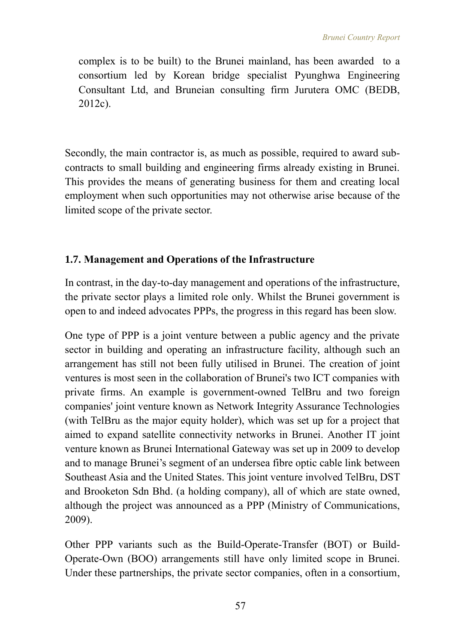complex is to be built) to the Brunei mainland, has been awarded to a consortium led by Korean bridge specialist Pyunghwa Engineering Consultant Ltd, and Bruneian consulting firm Jurutera OMC (BEDB, 2012c).

Secondly, the main contractor is, as much as possible, required to award subcontracts to small building and engineering firms already existing in Brunei. This provides the means of generating business for them and creating local employment when such opportunities may not otherwise arise because of the limited scope of the private sector.

## **1.7. Management and Operations of the Infrastructure**

In contrast, in the day-to-day management and operations of the infrastructure, the private sector plays a limited role only. Whilst the Brunei government is open to and indeed advocates PPPs, the progress in this regard has been slow.

One type of PPP is a joint venture between a public agency and the private sector in building and operating an infrastructure facility, although such an arrangement has still not been fully utilised in Brunei. The creation of joint ventures is most seen in the collaboration of Brunei's two ICT companies with private firms. An example is government-owned TelBru and two foreign companies' joint venture known as Network Integrity Assurance Technologies (with TelBru as the major equity holder), which was set up for a project that aimed to expand satellite connectivity networks in Brunei. Another IT joint venture known as Brunei International Gateway was set up in 2009 to develop and to manage Brunei's segment of an undersea fibre optic cable link between Southeast Asia and the United States. This joint venture involved TelBru, DST and Brooketon Sdn Bhd. (a holding company), all of which are state owned, although the project was announced as a PPP (Ministry of Communications, 2009).

Other PPP variants such as the Build-Operate-Transfer (BOT) or Build-Operate-Own (BOO) arrangements still have only limited scope in Brunei. Under these partnerships, the private sector companies, often in a consortium,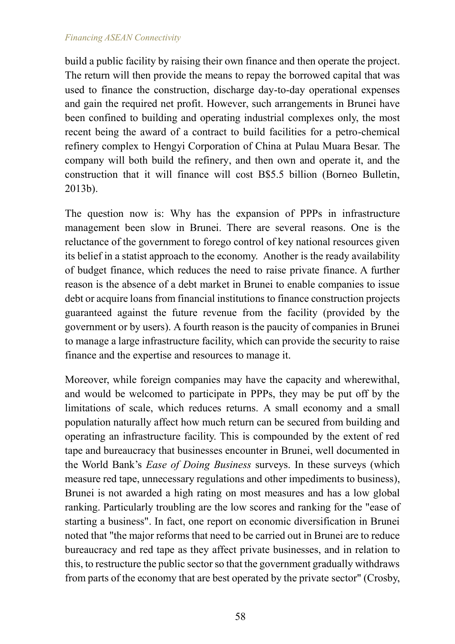build a public facility by raising their own finance and then operate the project. The return will then provide the means to repay the borrowed capital that was used to finance the construction, discharge day-to-day operational expenses and gain the required net profit. However, such arrangements in Brunei have been confined to building and operating industrial complexes only, the most recent being the award of a contract to build facilities for a petro-chemical refinery complex to Hengyi Corporation of China at Pulau Muara Besar. The company will both build the refinery, and then own and operate it, and the construction that it will finance will cost B\$5.5 billion (Borneo Bulletin, 2013b).

The question now is: Why has the expansion of PPPs in infrastructure management been slow in Brunei. There are several reasons. One is the reluctance of the government to forego control of key national resources given its belief in a statist approach to the economy. Another is the ready availability of budget finance, which reduces the need to raise private finance. A further reason is the absence of a debt market in Brunei to enable companies to issue debt or acquire loans from financial institutions to finance construction projects guaranteed against the future revenue from the facility (provided by the government or by users). A fourth reason is the paucity of companies in Brunei to manage a large infrastructure facility, which can provide the security to raise finance and the expertise and resources to manage it.

Moreover, while foreign companies may have the capacity and wherewithal, and would be welcomed to participate in PPPs, they may be put off by the limitations of scale, which reduces returns. A small economy and a small population naturally affect how much return can be secured from building and operating an infrastructure facility. This is compounded by the extent of red tape and bureaucracy that businesses encounter in Brunei, well documented in the World Bank's *Ease of Doing Business* surveys. In these surveys (which measure red tape, unnecessary regulations and other impediments to business), Brunei is not awarded a high rating on most measures and has a low global ranking. Particularly troubling are the low scores and ranking for the "ease of starting a business". In fact, one report on economic diversification in Brunei noted that "the major reforms that need to be carried out in Brunei are to reduce bureaucracy and red tape as they affect private businesses, and in relation to this, to restructure the public sector so that the government gradually withdraws from parts of the economy that are best operated by the private sector" (Crosby,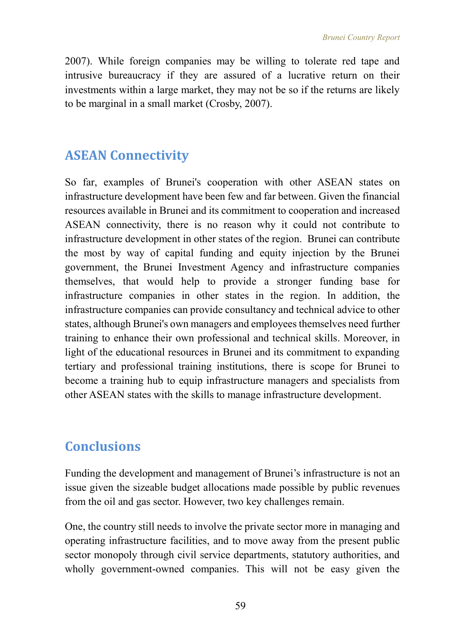2007). While foreign companies may be willing to tolerate red tape and intrusive bureaucracy if they are assured of a lucrative return on their investments within a large market, they may not be so if the returns are likely to be marginal in a small market (Crosby, 2007).

## **ASEAN Connectivity**

So far, examples of Brunei's cooperation with other ASEAN states on infrastructure development have been few and far between. Given the financial resources available in Brunei and its commitment to cooperation and increased ASEAN connectivity, there is no reason why it could not contribute to infrastructure development in other states of the region. Brunei can contribute the most by way of capital funding and equity injection by the Brunei government, the Brunei Investment Agency and infrastructure companies themselves, that would help to provide a stronger funding base for infrastructure companies in other states in the region. In addition, the infrastructure companies can provide consultancy and technical advice to other states, although Brunei's own managers and employees themselves need further training to enhance their own professional and technical skills. Moreover, in light of the educational resources in Brunei and its commitment to expanding tertiary and professional training institutions, there is scope for Brunei to become a training hub to equip infrastructure managers and specialists from other ASEAN states with the skills to manage infrastructure development.

# **Conclusions**

Funding the development and management of Brunei's infrastructure is not an issue given the sizeable budget allocations made possible by public revenues from the oil and gas sector. However, two key challenges remain.

One, the country still needs to involve the private sector more in managing and operating infrastructure facilities, and to move away from the present public sector monopoly through civil service departments, statutory authorities, and wholly government-owned companies. This will not be easy given the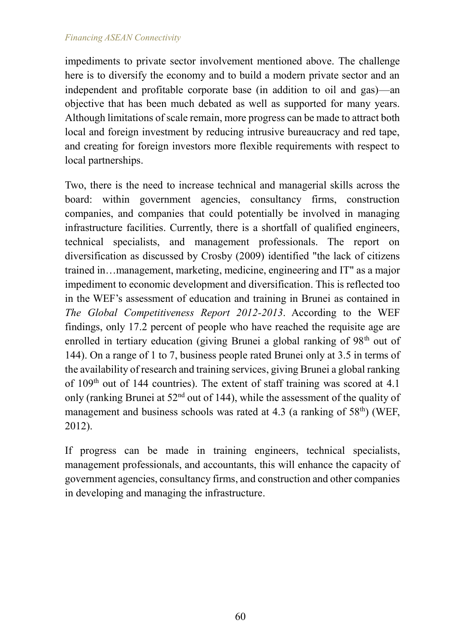impediments to private sector involvement mentioned above. The challenge here is to diversify the economy and to build a modern private sector and an independent and profitable corporate base (in addition to oil and gas)—an objective that has been much debated as well as supported for many years. Although limitations of scale remain, more progress can be made to attract both local and foreign investment by reducing intrusive bureaucracy and red tape, and creating for foreign investors more flexible requirements with respect to local partnerships.

Two, there is the need to increase technical and managerial skills across the board: within government agencies, consultancy firms, construction companies, and companies that could potentially be involved in managing infrastructure facilities. Currently, there is a shortfall of qualified engineers, technical specialists, and management professionals. The report on diversification as discussed by Crosby (2009) identified "the lack of citizens trained in…management, marketing, medicine, engineering and IT" as a major impediment to economic development and diversification. This is reflected too in the WEF's assessment of education and training in Brunei as contained in *The Global Competitiveness Report 2012-2013*. According to the WEF findings, only 17.2 percent of people who have reached the requisite age are enrolled in tertiary education (giving Brunei a global ranking of  $98<sup>th</sup>$  out of 144). On a range of 1 to 7, business people rated Brunei only at 3.5 in terms of the availability of research and training services, giving Brunei a global ranking of 109<sup>th</sup> out of 144 countries). The extent of staff training was scored at 4.1 only (ranking Brunei at  $52<sup>nd</sup>$  out of 144), while the assessment of the quality of management and business schools was rated at  $4.3$  (a ranking of  $58<sup>th</sup>$ ) (WEF, 2012).

If progress can be made in training engineers, technical specialists, management professionals, and accountants, this will enhance the capacity of government agencies, consultancy firms, and construction and other companies in developing and managing the infrastructure.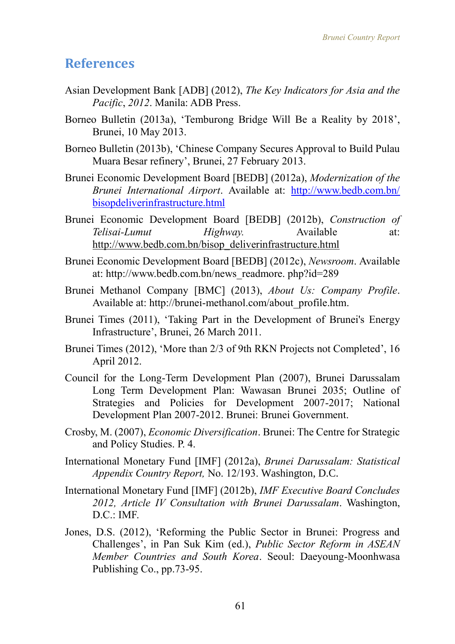## **References**

- Asian Development Bank [ADB] (2012), *The Key Indicators for Asia and the Pacific*, *2012*. Manila: ADB Press.
- Borneo Bulletin (2013a), 'Temburong Bridge Will Be a Reality by 2018', Brunei, 10 May 2013.
- Borneo Bulletin (2013b), 'Chinese Company Secures Approval to Build Pulau Muara Besar refinery', Brunei, 27 February 2013.
- Brunei Economic Development Board [BEDB] (2012a), *Modernization of the Brunei International Airport*. Available at: [http://www.bedb.com.bn/](http://www.bedb.com.bn/%20bisopdeliverinfrastructure.html)  [bisopdeliverinfrastructure.html](http://www.bedb.com.bn/%20bisopdeliverinfrastructure.html)
- Brunei Economic Development Board [BEDB] (2012b), *Construction of Telisai-Lumut Highway*. Available at: [http://www.bedb.com.bn/bisop\\_deliverinfrastructure.html](http://www.bedb.com.bn/bisop_deliverinfrastructure.html)
- Brunei Economic Development Board [BEDB] (2012c), *Newsroom*. Available at: [http://www.bedb.com.bn/news\\_readmore. php?id=289](http://www.bedb.com.bn/news_readmore.%20php?id=289)
- Brunei Methanol Company [BMC] (2013), *About Us: Company Profile*. Available at: [http://brunei-methanol.com/about\\_profile.htm.](http://brunei-methanol.com/about_profile.htm)
- Brunei Times (2011), 'Taking Part in the Development of Brunei's Energy Infrastructure', Brunei, 26 March 2011.
- Brunei Times (2012), 'More than 2/3 of 9th RKN Projects not Completed', 16 April 2012.
- Council for the Long-Term Development Plan (2007), Brunei Darussalam Long Term Development Plan: Wawasan Brunei 2035; Outline of Strategies and Policies for Development 2007-2017; National Development Plan 2007-2012. Brunei: Brunei Government.
- Crosby, M. (2007), *Economic Diversification*. Brunei: The Centre for Strategic and Policy Studies. P. 4.
- International Monetary Fund [IMF] (2012a), *Brunei Darussalam: Statistical Appendix Country Report,* No. 12/193. Washington, D.C.
- International Monetary Fund [IMF] (2012b), *IMF Executive Board Concludes 2012, Article IV Consultation with Brunei Darussalam*. Washington, D.C.: IMF.
- Jones, D.S. (2012), 'Reforming the Public Sector in Brunei: Progress and Challenges', in Pan Suk Kim (ed.), *Public Sector Reform in ASEAN Member Countries and South Korea*. Seoul: Daeyoung-Moonhwasa Publishing Co., pp.73-95.